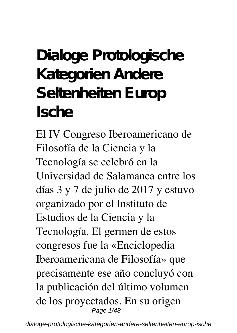## **Dialoge Protologische Kategorien Andere Seltenheiten Europ Ische**

El IV Congreso Iberoamericano de Filosofía de la Ciencia y la Tecnología se celebró en la Universidad de Salamanca entre los días 3 y 7 de julio de 2017 y estuvo organizado por el Instituto de Estudios de la Ciencia y la Tecnología. El germen de estos congresos fue la «Enciclopedia Iberoamericana de Filosofía» que precisamente ese año concluyó con la publicación del último volumen de los proyectados. En su origen Page 1/48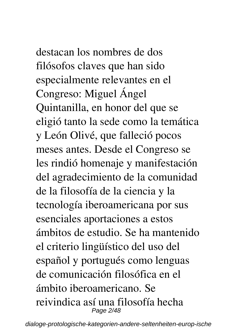destacan los nombres de dos filósofos claves que han sido especialmente relevantes en el Congreso: Miguel Ángel

Quintanilla, en honor del que se eligió tanto la sede como la temática y León Olivé, que falleció pocos meses antes. Desde el Congreso se les rindió homenaje y manifestación del agradecimiento de la comunidad de la filosofía de la ciencia y la tecnología iberoamericana por sus esenciales aportaciones a estos ámbitos de estudio. Se ha mantenido el criterio lingüístico del uso del español y portugués como lenguas de comunicación filosófica en el ámbito iberoamericano. Se reivindica así una filosofía hecha Page 2/48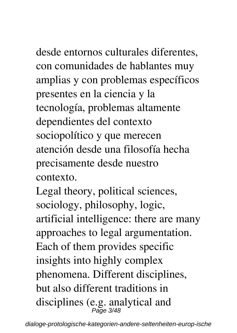desde entornos culturales diferentes, con comunidades de hablantes muy amplias y con problemas específicos presentes en la ciencia y la tecnología, problemas altamente dependientes del contexto sociopolítico y que merecen atención desde una filosofía hecha precisamente desde nuestro

contexto.

Legal theory, political sciences, sociology, philosophy, logic, artificial intelligence: there are many approaches to legal argumentation. Each of them provides specific insights into highly complex phenomena. Different disciplines, but also different traditions in disciplines (e.g. analytical and Page 3/48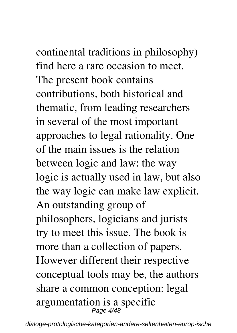continental traditions in philosophy) find here a rare occasion to meet. The present book contains contributions, both historical and

thematic, from leading researchers in several of the most important approaches to legal rationality. One of the main issues is the relation between logic and law: the way logic is actually used in law, but also the way logic can make law explicit. An outstanding group of philosophers, logicians and jurists try to meet this issue. The book is more than a collection of papers. However different their respective conceptual tools may be, the authors share a common conception: legal argumentation is a specific Page 4/48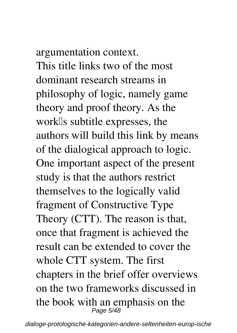## argumentation context.

This title links two of the most dominant research streams in philosophy of logic, namely game theory and proof theory. As the work<sup>Is</sup> subtitle expresses, the authors will build this link by means of the dialogical approach to logic. One important aspect of the present study is that the authors restrict themselves to the logically valid fragment of Constructive Type Theory (CTT). The reason is that, once that fragment is achieved the result can be extended to cover the whole CTT system. The first chapters in the brief offer overviews on the two frameworks discussed in the book with an emphasis on the<br> $\frac{Page 5}{48}$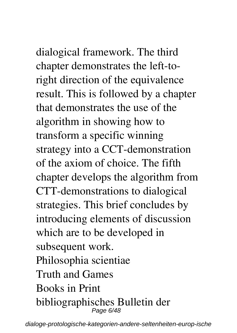dialogical framework. The third chapter demonstrates the left-toright direction of the equivalence result. This is followed by a chapter that demonstrates the use of the algorithm in showing how to transform a specific winning strategy into a CCT-demonstration of the axiom of choice. The fifth chapter develops the algorithm from CTT-demonstrations to dialogical strategies. This brief concludes by introducing elements of discussion which are to be developed in subsequent work. Philosophia scientiae Truth and Games Books in Print bibliographisches Bulletin der

dialoge-protologische-kategorien-andere-seltenheiten-europ-ische

Page 6/48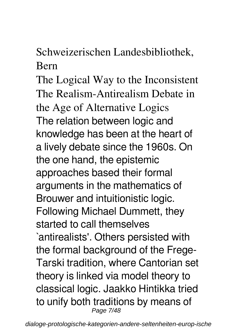## Schweizerischen Landesbibliothek, Bern

The Logical Way to the Inconsistent The Realism-Antirealism Debate in the Age of Alternative Logics The relation between logic and knowledge has been at the heart of a lively debate since the 1960s. On the one hand, the epistemic approaches based their formal arguments in the mathematics of Brouwer and intuitionistic logic. Following Michael Dummett, they started to call themselves `antirealists'. Others persisted with the formal background of the Frege-Tarski tradition, where Cantorian set theory is linked via model theory to classical logic. Jaakko Hintikka tried to unify both traditions by means of Page 7/48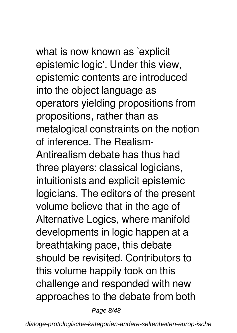what is now known as `explicit epistemic logic'. Under this view, epistemic contents are introduced into the object language as operators yielding propositions from propositions, rather than as metalogical constraints on the notion of inference. The Realism-Antirealism debate has thus had three players: classical logicians, intuitionists and explicit epistemic logicians. The editors of the present volume believe that in the age of Alternative Logics, where manifold developments in logic happen at a breathtaking pace, this debate should be revisited. Contributors to this volume happily took on this challenge and responded with new approaches to the debate from both

Page 8/48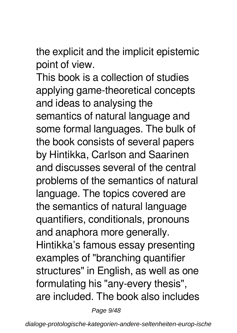the explicit and the implicit epistemic point of view.

This book is a collection of studies applying game-theoretical concepts and ideas to analysing the semantics of natural language and some formal languages. The bulk of the book consists of several papers by Hintikka, Carlson and Saarinen and discusses several of the central problems of the semantics of natural language. The topics covered are the semantics of natural language quantifiers, conditionals, pronouns and anaphora more generally. Hintikka's famous essay presenting examples of "branching quantifier structures" in English, as well as one formulating his "any-every thesis", are included. The book also includes

Page 9/48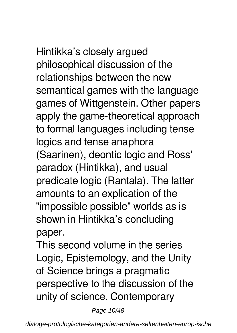Hintikka's closely argued philosophical discussion of the relationships between the new semantical games with the language games of Wittgenstein. Other papers apply the game-theoretical approach to formal languages including tense logics and tense anaphora (Saarinen), deontic logic and Ross' paradox (Hintikka), and usual predicate logic (Rantala). The latter amounts to an explication of the "impossible possible" worlds as is shown in Hintikka's concluding paper.

This second volume in the series Logic, Epistemology, and the Unity of Science brings a pragmatic perspective to the discussion of the unity of science. Contemporary

Page 10/48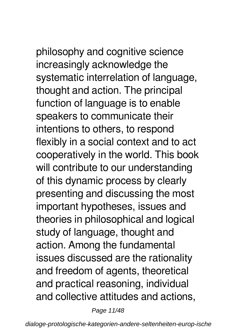philosophy and cognitive science increasingly acknowledge the systematic interrelation of language, thought and action. The principal function of language is to enable speakers to communicate their intentions to others, to respond flexibly in a social context and to act cooperatively in the world. This book will contribute to our understanding of this dynamic process by clearly presenting and discussing the most important hypotheses, issues and theories in philosophical and logical study of language, thought and action. Among the fundamental issues discussed are the rationality and freedom of agents, theoretical and practical reasoning, individual and collective attitudes and actions,

Page 11/48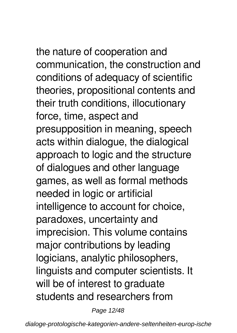the nature of cooperation and communication, the construction and conditions of adequacy of scientific theories, propositional contents and their truth conditions, illocutionary force, time, aspect and presupposition in meaning, speech acts within dialogue, the dialogical approach to logic and the structure of dialogues and other language games, as well as formal methods needed in logic or artificial intelligence to account for choice, paradoxes, uncertainty and imprecision. This volume contains major contributions by leading logicians, analytic philosophers, linguists and computer scientists. It will be of interest to graduate students and researchers from

Page 12/48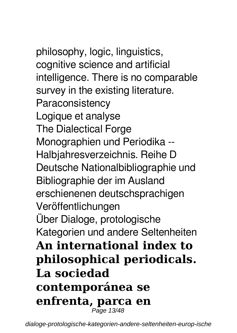philosophy, logic, linguistics, cognitive science and artificial intelligence. There is no comparable survey in the existing literature. **Paraconsistency** Logique et analyse The Dialectical Forge Monographien und Periodika -- Halbjahresverzeichnis. Reihe D Deutsche Nationalbibliographie und Bibliographie der im Ausland erschienenen deutschsprachigen Veröffentlichungen Über Dialoge, protologische Kategorien und andere Seltenheiten **An international index to philosophical periodicals. La sociedad contemporánea se enfrenta, parca en** Page 13/48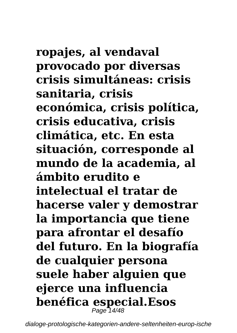# **ropajes, al vendaval**

**provocado por diversas crisis simultáneas: crisis sanitaria, crisis económica, crisis política, crisis educativa, crisis climática, etc. En esta situación, corresponde al mundo de la academia, al ámbito erudito e intelectual el tratar de hacerse valer y demostrar la importancia que tiene para afrontar el desafío del futuro. En la biografía de cualquier persona suele haber alguien que ejerce una influencia benéfica especial.Esos** Page 14/48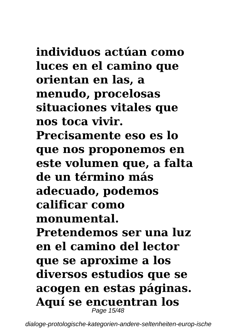## **individuos actúan como luces en el camino que orientan en las, a menudo, procelosas situaciones vitales que nos toca vivir. Precisamente eso es lo que nos proponemos en este volumen que, a falta de un término más adecuado, podemos calificar como monumental. Pretendemos ser una luz en el camino del lector que se aproxime a los diversos estudios que se acogen en estas páginas.**

**Aquí se encuentran los** Page 15/48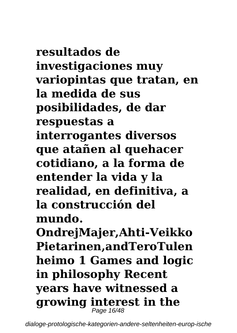**resultados de investigaciones muy variopintas que tratan, en la medida de sus posibilidades, de dar respuestas a interrogantes diversos que atañen al quehacer cotidiano, a la forma de entender la vida y la realidad, en definitiva, a la construcción del mundo. OndrejMajer,Ahti-Veikko Pietarinen,andTeroTulen heimo 1 Games and logic in philosophy Recent years have witnessed a growing interest in the** Page 16/48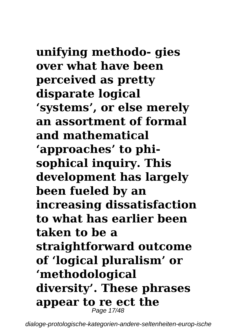**unifying methodo- gies over what have been perceived as pretty disparate logical 'systems', or else merely an assortment of formal and mathematical 'approaches' to phisophical inquiry. This development has largely been fueled by an increasing dissatisfaction to what has earlier been taken to be a straightforward outcome of 'logical pluralism' or 'methodological diversity'. These phrases appear to re ect the** Page 17/48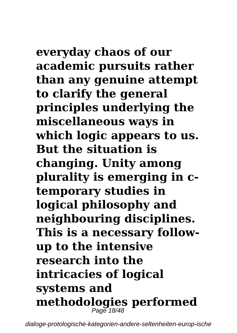**everyday chaos of our academic pursuits rather than any genuine attempt to clarify the general principles underlying the miscellaneous ways in which logic appears to us. But the situation is changing. Unity among plurality is emerging in ctemporary studies in logical philosophy and neighbouring disciplines. This is a necessary followup to the intensive research into the intricacies of logical systems and methodologies performed** Page 18/48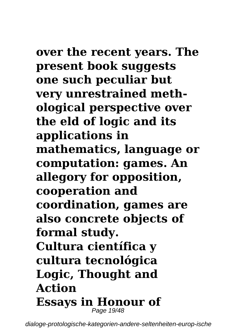## **over the recent years. The present book suggests one such peculiar but very unrestrained methological perspective over the eld of logic and its applications in mathematics, language or computation: games. An allegory for opposition, cooperation and coordination, games are also concrete objects of formal study. Cultura científica y cultura tecnológica**

## **Logic, Thought and Action Essays in Honour of** Page 19/48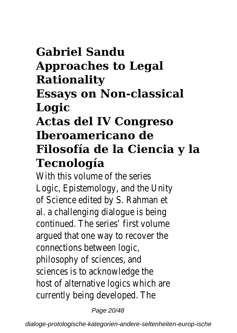## **Gabriel Sandu Approaches to Legal Rationality Essays on Non-classical Logic Actas del IV Congreso Iberoamericano de Filosofía de la Ciencia y la**

### **Tecnología**

With this volume of the series Logic, Epistemology, and the Unity of Science edited by S. Rahman et al. a challenging dialogue is being continued. The series' first volume argued that one way to recover the connections between logic, philosophy of sciences, and sciences is to acknowledge the host of alternative logics which are currently being developed. The

Page 20/48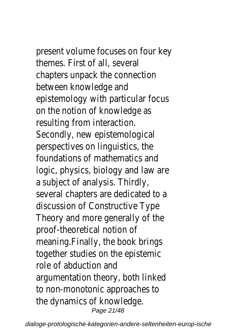present volume focuses on four key themes. First of all, several chapters unpack the connection between knowledge and epistemology with particular focus on the notion of knowledge as resulting from interaction. Secondly, new epistemological perspectives on linguistics, the foundations of mathematics and logic, physics, biology and law are a subject of analysis. Thirdly, several chapters are dedicated to a discussion of Constructive Type Theory and more generally of the proof-theoretical notion of meaning.Finally, the book brings together studies on the epistemic role of abduction and argumentation theory, both linked to non-monotonic approaches to the dynamics of knowledge. Page 21/48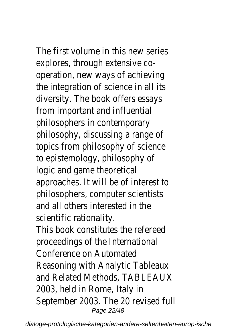The first volume in this new series explores, through extensive cooperation, new ways of achieving the integration of science in all its diversity. The book offers essays from important and influential philosophers in contemporary philosophy, discussing a range of topics from philosophy of science to epistemology, philosophy of logic and game theoretical approaches. It will be of interest to philosophers, computer scientists and all others interested in the scientific rationality. This book constitutes the refereed proceedings of the International Conference on Automated Reasoning with Analytic Tableaux and Related Methods, TABLEAUX 2003, held in Rome, Italy in September 2003. The 20 revised full Page 22/48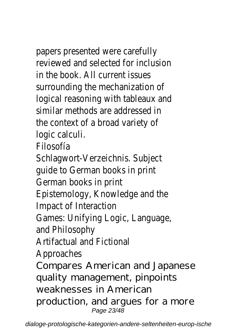## papers presented were carefully

reviewed and selected for inclusion in the book. All current issues surrounding the mechanization of logical reasoning with tableaux and similar methods are addressed in the context of a broad variety of logic calculi.

Filosofía

Schlagwort-Verzeichnis. Subject guide to German books in print German books in print Epistemology, Knowledge and the Impact of Interaction Games: Unifying Logic, Language, and Philosophy Artifactual and Fictional Approaches Compares American and Japanese quality management, pinpoints weaknesses in American production, and argues for a more Page 23/48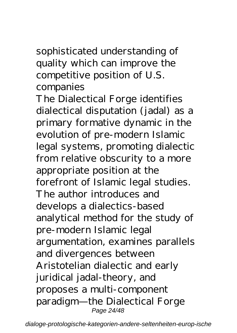sophisticated understanding of quality which can improve the competitive position of U.S. companies

The Dialectical Forge identifies dialectical disputation (jadal) as a primary formative dynamic in the evolution of pre-modern Islamic legal systems, promoting dialectic from relative obscurity to a more appropriate position at the forefront of Islamic legal studies. The author introduces and develops a dialectics-based analytical method for the study of pre-modern Islamic legal argumentation, examines parallels and divergences between Aristotelian dialectic and early juridical jadal-theory, and proposes a multi-component paradigm—the Dialectical Forge Page 24/48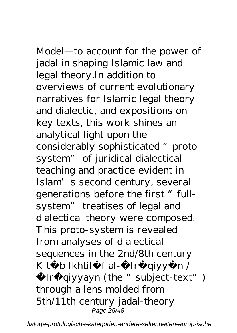## Model—to account for the power of

jadal in shaping Islamic law and legal theory.In addition to overviews of current evolutionary narratives for Islamic legal theory and dialectic, and expositions on key texts, this work shines an analytical light upon the considerably sophisticated " protosystem" of juridical dialectical teaching and practice evident in Islam's second century, several generations before the first "fullsystem" treatises of legal and dialectical theory were composed. This proto-system is revealed from analyses of dialectical sequences in the 2nd/8th century Kit b Ikhtil f al- Ir qiyy n /

Ir qiyyayn (the "subject-text") through a lens molded from 5th/11th century jadal-theory Page 25/48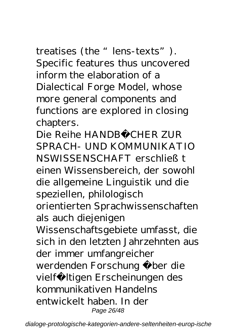treatises (the "lens-texts"). Specific features thus uncovered inform the elaboration of a Dialectical Forge Model, whose more general components and functions are explored in closing chapters.

Die Reihe HANDBÜCHER ZUR SPRACH- UND KOMMUNIKATIO NSWISSENSCHAFT erschließt einen Wissensbereich, der sowohl die allgemeine Linguistik und die speziellen, philologisch orientierten Sprachwissenschaften als auch diejenigen Wissenschaftsgebiete umfasst, die sich in den letzten Jahrzehnten aus der immer umfangreicher werdenden Forschung über die vielfältigen Erscheinungen des kommunikativen Handelns entwickelt haben. In der Page 26/48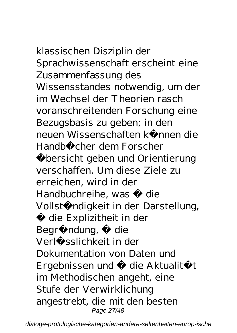# klassischen Disziplin der

Sprachwissenschaft erscheint eine Zusammenfassung des Wissensstandes notwendig, um der im Wechsel der Theorien rasch voranschreitenden Forschung eine Bezugsbasis zu geben; in den neuen Wissenschaften können die Handbücher dem Forscher Übersicht geben und Orientierung verschaffen. Um diese Ziele zu erreichen, wird in der Handbuchreihe, was · die Vollständigkeit in der Darstellung, die Explizitheit in der Begründung, die Verlässlichkeit in der Dokumentation von Daten und Ergebnissen und · die Aktualität im Methodischen angeht, eine Stufe der Verwirklichung angestrebt, die mit den besten Page 27/48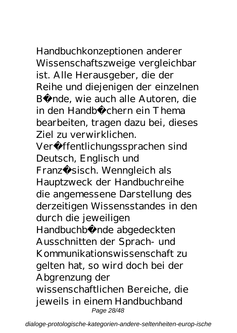Handbuchkonzeptionen anderer Wissenschaftszweige vergleichbar ist. Alle Herausgeber, die der Reihe und diejenigen der einzelnen Bände, wie auch alle Autoren, die in den Handbüchern ein Thema bearbeiten, tragen dazu bei, dieses Ziel zu verwirklichen.

Verö ffentlichungssprachen sind Deutsch, Englisch und Franzö sisch. Wenngleich als Hauptzweck der Handbuchreihe die angemessene Darstellung des derzeitigen Wissensstandes in den durch die jeweiligen Handbuchbä nde abgedeckten Ausschnitten der Sprach- und Kommunikationswissenschaft zu gelten hat, so wird doch bei der Abgrenzung der wissenschaftlichen Bereiche, die jeweils in einem Handbuchband Page 28/48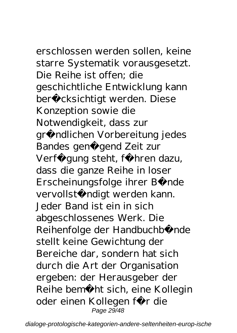erschlossen werden sollen, keine starre Systematik vorausgesetzt. Die Reihe ist offen; die geschichtliche Entwicklung kann berücksichtigt werden. Diese Konzeption sowie die Notwendigkeit, dass zur gründlichen Vorbereitung jedes Bandes genü gend Zeit zur Verfü gung steht, führen dazu, dass die ganze Reihe in loser Erscheinungsfolge ihrer Bände vervollständigt werden kann. Jeder Band ist ein in sich abgeschlossenes Werk. Die Reihenfolge der Handbuchbände stellt keine Gewichtung der Bereiche dar, sondern hat sich durch die Art der Organisation ergeben: der Herausgeber der Reihe bemüht sich, eine Kollegin oder einen Kollegen für die Page 29/48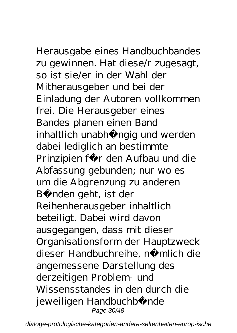## Herausgabe eines Handbuchbandes

zu gewinnen. Hat diese/r zugesagt, so ist sie/er in der Wahl der Mitherausgeber und bei der Einladung der Autoren vollkommen frei. Die Herausgeber eines Bandes planen einen Band inhaltlich unabhängig und werden dabei lediglich an bestimmte Prinzipien für den Aufbau und die Abfassung gebunden; nur wo es um die Abgrenzung zu anderen Bänden geht, ist der Reihenherausgeber inhaltlich beteiligt. Dabei wird davon ausgegangen, dass mit dieser Organisationsform der Hauptzweck dieser Handbuchreihe, nämlich die angemessene Darstellung des derzeitigen Problem- und Wissensstandes in den durch die jeweiligen Handbuchbände Page 30/48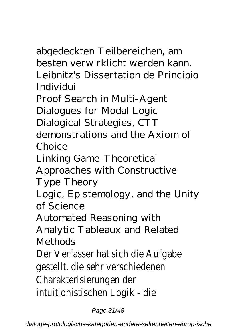abgedeckten Teilbereichen, am besten verwirklicht werden kann. Leibnitz's Dissertation de Principio Individui

Proof Search in Multi-Agent

Dialogues for Modal Logic

Dialogical Strategies, CTT

demonstrations and the Axiom of Choice

Linking Game-Theoretical

Approaches with Constructive

Type Theory

Logic, Epistemology, and the Unity of Science

Automated Reasoning with

Analytic Tableaux and Related Methods

Der Verfasser hat sich die Aufgabe gestellt, die sehr verschiedenen Charakterisierungen der intuitionistischen Logik - die

Page 31/48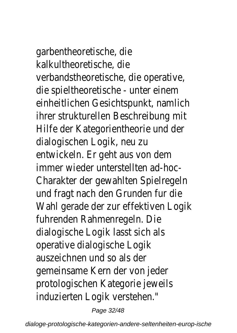garbentheoretische, die kalkultheoretische, die verbandstheoretische, die operative, die spieltheoretische - unter einem einheitlichen Gesichtspunkt, namlich ihrer strukturellen Beschreibung mit Hilfe der Kategorientheorie und der dialogischen Logik, neu zu entwickeln. Er geht aus von dem immer wieder unterstellten ad-hoc-Charakter der gewahlten Spielregeln und fragt nach den Grunden fur die Wahl gerade der zur effektiven Logik fuhrenden Rahmenregeln. Die dialogische Logik lasst sich als operative dialogische Logik auszeichnen und so als der gemeinsame Kern der von jeder protologischen Kategorie jeweils induzierten Logik verstehen."

Page 32/48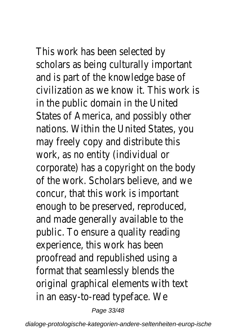This work has been selected by scholars as being culturally important and is part of the knowledge base of civilization as we know it. This work is in the public domain in the United States of America, and possibly other nations. Within the United States, you may freely copy and distribute this work, as no entity (individual or corporate) has a copyright on the body of the work. Scholars believe, and we concur, that this work is important enough to be preserved, reproduced, and made generally available to the public. To ensure a quality reading experience, this work has been proofread and republished using a format that seamlessly blends the original graphical elements with text in an easy-to-read typeface. We

Page 33/48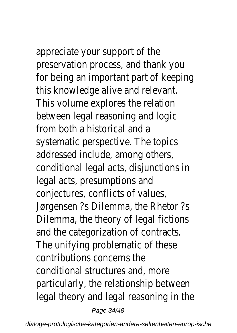appreciate your support of the preservation process, and thank you for being an important part of keeping this knowledge alive and relevant. This volume explores the relation between legal reasoning and logic from both a historical and a systematic perspective. The topics addressed include, among others, conditional legal acts, disjunctions in legal acts, presumptions and conjectures, conflicts of values, Jørgensen ?s Dilemma, the Rhetor ?s Dilemma, the theory of legal fictions and the categorization of contracts. The unifying problematic of these contributions concerns the conditional structures and, more particularly, the relationship between legal theory and legal reasoning in the

Page 34/48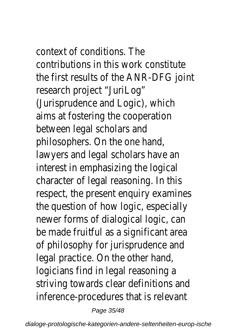context of conditions. The contributions in this work constitute the first results of the ANR-DFG joint research project "JuriLog" (Jurisprudence and Logic), which aims at fostering the cooperation between legal scholars and philosophers. On the one hand, lawyers and legal scholars have an interest in emphasizing the logical character of legal reasoning. In this respect, the present enquiry examines the question of how logic, especially newer forms of dialogical logic, can be made fruitful as a significant area of philosophy for jurisprudence and legal practice. On the other hand, logicians find in legal reasoning a striving towards clear definitions and inference-procedures that is relevant

Page 35/48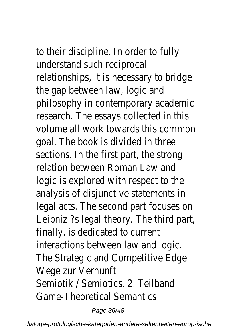to their discipline. In order to fully understand such reciprocal relationships, it is necessary to bridge the gap between law, logic and philosophy in contemporary academic research. The essays collected in this volume all work towards this common goal. The book is divided in three sections. In the first part, the strong relation between Roman Law and logic is explored with respect to the analysis of disjunctive statements in legal acts. The second part focuses on Leibniz ?s legal theory. The third part, finally, is dedicated to current interactions between law and logic. The Strategic and Competitive Edge Wege zur Vernunft Semiotik / Semiotics. 2. Teilband Game-Theoretical Semantics

Page 36/48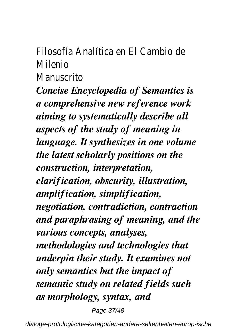Filosofía Analítica en El Cambio de Milenio

**Manuscrito** 

*Concise Encyclopedia of Semantics is a comprehensive new reference work aiming to systematically describe all aspects of the study of meaning in language. It synthesizes in one volume the latest scholarly positions on the construction, interpretation, clarification, obscurity, illustration, amplification, simplification, negotiation, contradiction, contraction and paraphrasing of meaning, and the various concepts, analyses, methodologies and technologies that underpin their study. It examines not only semantics but the impact of semantic study on related fields such as morphology, syntax, and*

Page 37/48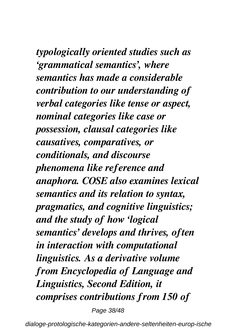*typologically oriented studies such as 'grammatical semantics', where semantics has made a considerable contribution to our understanding of verbal categories like tense or aspect, nominal categories like case or possession, clausal categories like causatives, comparatives, or conditionals, and discourse phenomena like reference and anaphora. COSE also examines lexical semantics and its relation to syntax, pragmatics, and cognitive linguistics; and the study of how 'logical semantics' develops and thrives, often in interaction with computational linguistics. As a derivative volume from Encyclopedia of Language and Linguistics, Second Edition, it comprises contributions from 150 of*

Page 38/48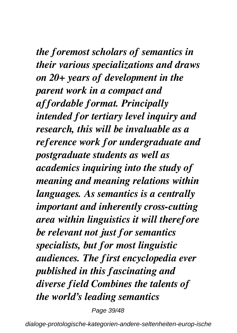*the foremost scholars of semantics in their various specializations and draws on 20+ years of development in the parent work in a compact and affordable format. Principally intended for tertiary level inquiry and research, this will be invaluable as a reference work for undergraduate and postgraduate students as well as academics inquiring into the study of meaning and meaning relations within languages. As semantics is a centrally important and inherently cross-cutting area within linguistics it will therefore be relevant not just for semantics specialists, but for most linguistic audiences. The first encyclopedia ever published in this fascinating and diverse field Combines the talents of the world's leading semantics*

Page 39/48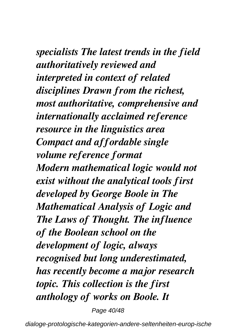*specialists The latest trends in the field authoritatively reviewed and interpreted in context of related disciplines Drawn from the richest, most authoritative, comprehensive and internationally acclaimed reference resource in the linguistics area Compact and affordable single volume reference format Modern mathematical logic would not exist without the analytical tools first developed by George Boole in The Mathematical Analysis of Logic and The Laws of Thought. The influence of the Boolean school on the development of logic, always recognised but long underestimated, has recently become a major research topic. This collection is the first anthology of works on Boole. It*

Page 40/48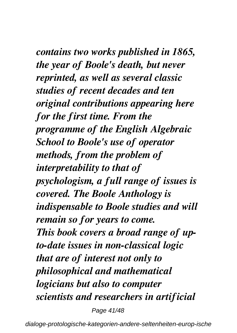*contains two works published in 1865, the year of Boole's death, but never reprinted, as well as several classic studies of recent decades and ten original contributions appearing here for the first time. From the programme of the English Algebraic School to Boole's use of operator methods, from the problem of interpretability to that of psychologism, a full range of issues is covered. The Boole Anthology is indispensable to Boole studies and will remain so for years to come. This book covers a broad range of upto-date issues in non-classical logic that are of interest not only to philosophical and mathematical logicians but also to computer scientists and researchers in artificial*

Page 41/48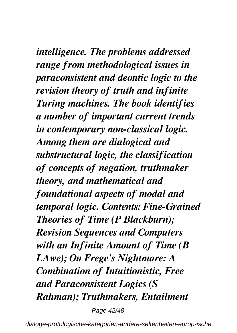*intelligence. The problems addressed range from methodological issues in paraconsistent and deontic logic to the revision theory of truth and infinite Turing machines. The book identifies a number of important current trends in contemporary non-classical logic. Among them are dialogical and substructural logic, the classification of concepts of negation, truthmaker theory, and mathematical and foundational aspects of modal and temporal logic. Contents: Fine-Grained Theories of Time (P Blackburn); Revision Sequences and Computers with an Infinite Amount of Time (B LAwe); On Frege's Nightmare: A Combination of Intuitionistic, Free and Paraconsistent Logics (S Rahman); Truthmakers, Entailment*

Page 42/48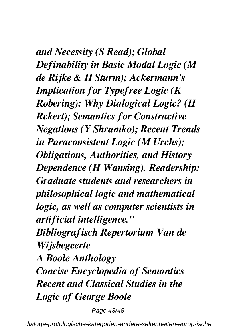*and Necessity (S Read); Global Definability in Basic Modal Logic (M de Rijke & H Sturm); Ackermann's Implication for Typefree Logic (K Robering); Why Dialogical Logic? (H Rckert); Semantics for Constructive Negations (Y Shramko); Recent Trends in Paraconsistent Logic (M Urchs); Obligations, Authorities, and History Dependence (H Wansing). Readership: Graduate students and researchers in philosophical logic and mathematical logic, as well as computer scientists in artificial intelligence." Bibliografisch Repertorium Van de Wijsbegeerte A Boole Anthology Concise Encyclopedia of Semantics Recent and Classical Studies in the Logic of George Boole*

Page 43/48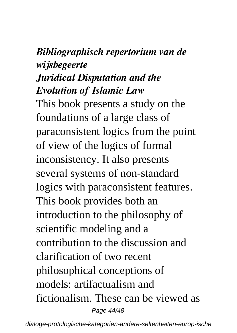### *Bibliographisch repertorium van de wijsbegeerte*

### *Juridical Disputation and the Evolution of Islamic Law*

This book presents a study on the foundations of a large class of paraconsistent logics from the point of view of the logics of formal inconsistency. It also presents several systems of non-standard logics with paraconsistent features. This book provides both an introduction to the philosophy of scientific modeling and a contribution to the discussion and clarification of two recent philosophical conceptions of models: artifactualism and fictionalism. These can be viewed as Page 44/48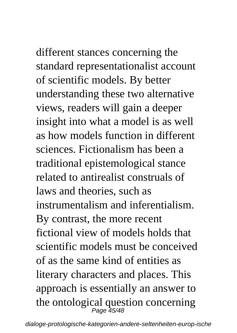different stances concerning the standard representationalist account of scientific models. By better understanding these two alternative views, readers will gain a deeper insight into what a model is as well as how models function in different sciences. Fictionalism has been a traditional epistemological stance related to antirealist construals of laws and theories, such as instrumentalism and inferentialism. By contrast, the more recent fictional view of models holds that scientific models must be conceived of as the same kind of entities as literary characters and places. This approach is essentially an answer to the ontological question concerning<br> $P_{\text{age 45/48}}$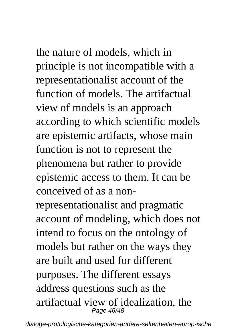the nature of models, which in principle is not incompatible with a representationalist account of the function of models. The artifactual view of models is an approach

according to which scientific models are epistemic artifacts, whose main function is not to represent the phenomena but rather to provide epistemic access to them. It can be conceived of as a non-

representationalist and pragmatic account of modeling, which does not intend to focus on the ontology of models but rather on the ways they are built and used for different purposes. The different essays address questions such as the artifactual view of idealization, the Page 46/48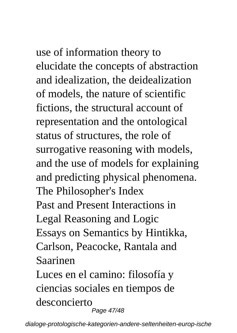use of information theory to elucidate the concepts of abstraction and idealization, the deidealization of models, the nature of scientific fictions, the structural account of representation and the ontological status of structures, the role of surrogative reasoning with models, and the use of models for explaining and predicting physical phenomena. The Philosopher's Index Past and Present Interactions in Legal Reasoning and Logic Essays on Semantics by Hintikka, Carlson, Peacocke, Rantala and Saarinen Luces en el camino: filosofía y ciencias sociales en tiempos de desconcierto

Page 47/48